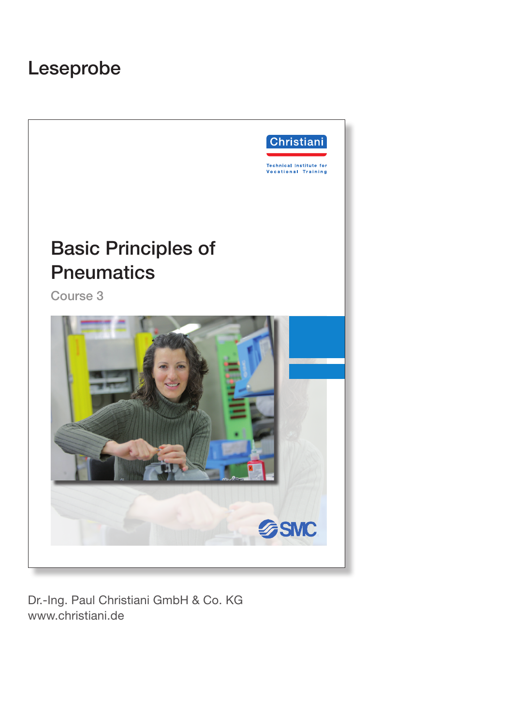# Leseprobe



Dr.-Ing. Paul Christiani GmbH & Co. KG www.christiani.de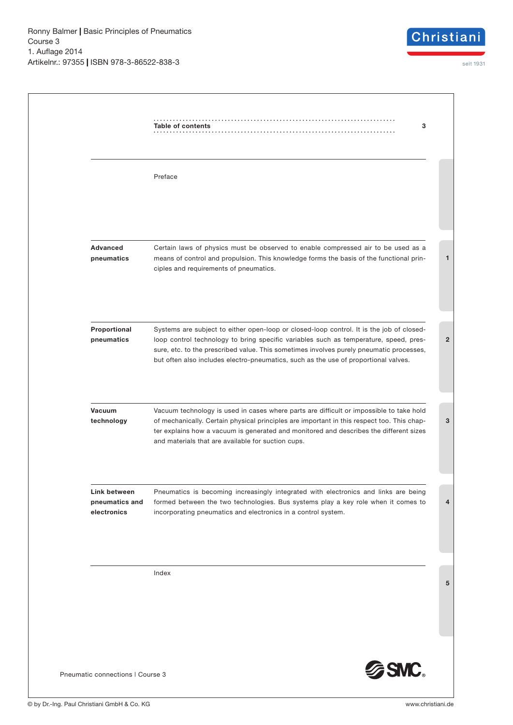

|                                               | Table of contents<br>3                                                                                                                                                                                                                                                                                                                                              |
|-----------------------------------------------|---------------------------------------------------------------------------------------------------------------------------------------------------------------------------------------------------------------------------------------------------------------------------------------------------------------------------------------------------------------------|
|                                               | Preface                                                                                                                                                                                                                                                                                                                                                             |
| <b>Advanced</b><br>pneumatics                 | Certain laws of physics must be observed to enable compressed air to be used as a<br>means of control and propulsion. This knowledge forms the basis of the functional prin-<br>ciples and requirements of pneumatics.                                                                                                                                              |
| Proportional<br>pneumatics                    | Systems are subject to either open-loop or closed-loop control. It is the job of closed-<br>loop control technology to bring specific variables such as temperature, speed, pres-<br>sure, etc. to the prescribed value. This sometimes involves purely pneumatic processes,<br>but often also includes electro-pneumatics, such as the use of proportional valves. |
| Vacuum<br>technology                          | Vacuum technology is used in cases where parts are difficult or impossible to take hold<br>of mechanically. Certain physical principles are important in this respect too. This chap-<br>ter explains how a vacuum is generated and monitored and describes the different sizes<br>and materials that are available for suction cups.                               |
| Link between<br>pneumatics and<br>electronics | Pneumatics is becoming increasingly integrated with electronics and links are being<br>formed between the two technologies. Bus systems play a key role when it comes to<br>incorporating pneumatics and electronics in a control system.                                                                                                                           |
|                                               | Index                                                                                                                                                                                                                                                                                                                                                               |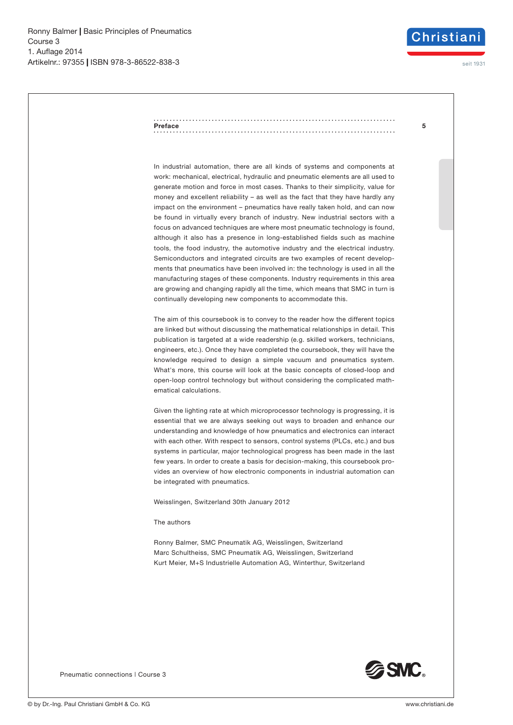

seit 1931

#### **5 Preface**

In industrial automation, there are all kinds of systems and components at work: mechanical, electrical, hydraulic and pneumatic elements are all used to generate motion and force in most cases. Thanks to their simplicity, value for money and excellent reliability – as well as the fact that they have hardly any impact on the environment – pneumatics have really taken hold, and can now be found in virtually every branch of industry. New industrial sectors with a focus on advanced techniques are where most pneumatic technology is found, although it also has a presence in long-established fields such as machine tools, the food industry, the automotive industry and the electrical industry. Semiconductors and integrated circuits are two examples of recent developments that pneumatics have been involved in: the technology is used in all the manufacturing stages of these components. Industry requirements in this area are growing and changing rapidly all the time, which means that SMC in turn is continually developing new components to accommodate this.

The aim of this coursebook is to convey to the reader how the different topics are linked but without discussing the mathematical relationships in detail. This publication is targeted at a wide readership (e.g. skilled workers, technicians, engineers, etc.). Once they have completed the coursebook, they will have the knowledge required to design a simple vacuum and pneumatics system. What's more, this course will look at the basic concepts of closed-loop and open-loop control technology but without considering the complicated mathematical calculations.

Given the lighting rate at which microprocessor technology is progressing, it is essential that we are always seeking out ways to broaden and enhance our understanding and knowledge of how pneumatics and electronics can interact with each other. With respect to sensors, control systems (PLCs, etc.) and bus systems in particular, major technological progress has been made in the last few years. In order to create a basis for decision-making, this coursebook provides an overview of how electronic components in industrial automation can be integrated with pneumatics.

Weisslingen, Switzerland 30th January 2012

### The authors

Ronny Balmer, SMC Pneumatik AG, Weisslingen, Switzerland Marc Schultheiss, SMC Pneumatik AG, Weisslingen, Switzerland Kurt Meier, M+S Industrielle Automation AG, Winterthur, Switzerland



Pneumatic connections | Course 3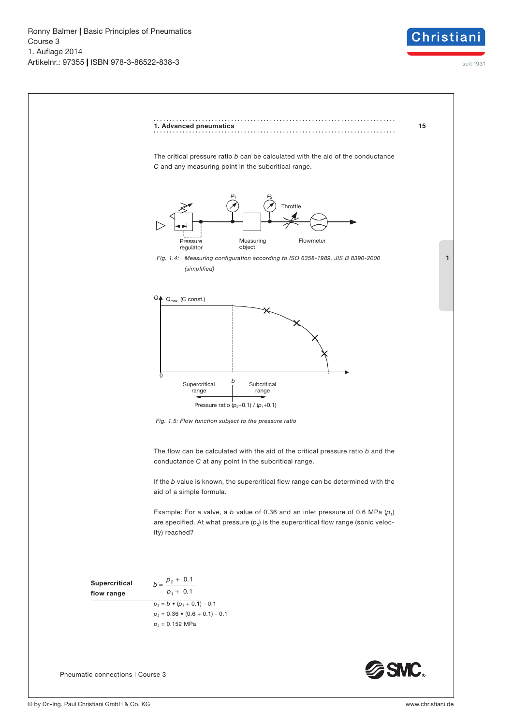

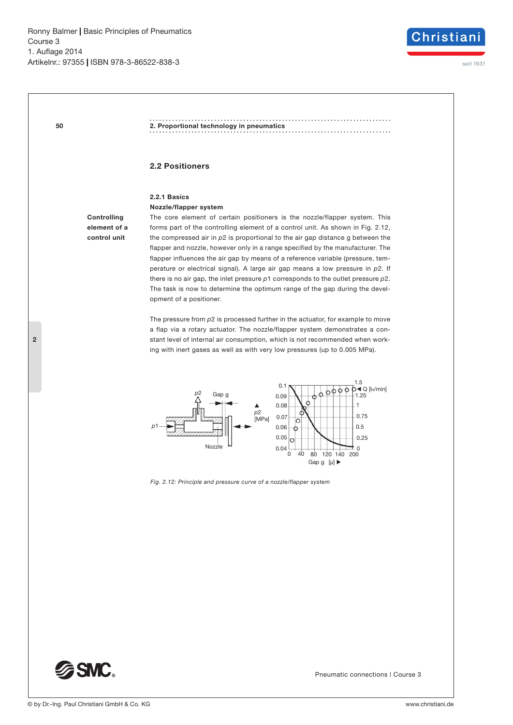**50**



**2. Proportional technology in pneumatics**

### **2.2 Positioners**

## **2.2.1 Basics**

**Nozzle/flapper system**

**Controlling element of a control unit**

The core element of certain positioners is the nozzle/flapper system. This forms part of the controlling element of a control unit. As shown in Fig. 2.12, the compressed air in *p*2 is proportional to the air gap distance g between the flapper and nozzle, however only in a range specified by the manufacturer. The flapper influences the air gap by means of a reference variable (pressure, temperature or electrical signal). A large air gap means a low pressure in *p*2. If there is no air gap, the inlet pressure *p*1 corresponds to the outlet pressure *p*2. The task is now to determine the optimum range of the gap during the development of a positioner.

The pressure from *p*2 is processed further in the actuator, for example to move a flap via a rotary actuator. The nozzle/flapper system demonstrates a constant level of internal air consumption, which is not recommended when working with inert gases as well as with very low pressures (up to 0.005 MPa).



*Fig. 2.12: Principle and pressure curve of a nozzle/flapper system*



Pneumatic connections | Course 3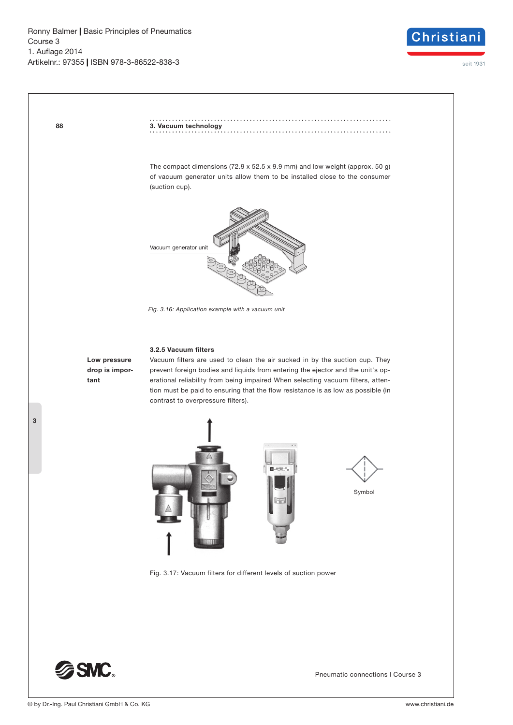